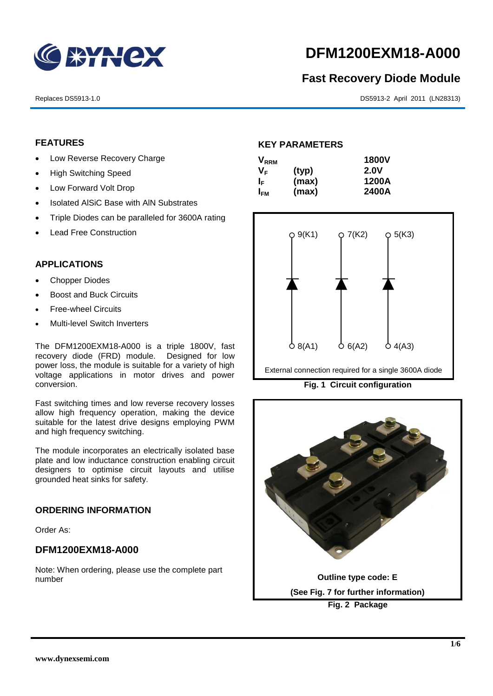

# **DFM1200EXM18-A000**

# **Fast Recovery Diode Module**

Replaces DS5913-1.0 DS5913-2 April 2011 (LN28313)

# **FEATURES**

- Low Reverse Recovery Charge
- High Switching Speed
- Low Forward Volt Drop
- Isolated AISiC Base with AIN Substrates
- Triple Diodes can be paralleled for 3600A rating
- Lead Free Construction

# **APPLICATIONS**

- Chopper Diodes
- Boost and Buck Circuits
- Free-wheel Circuits
- Multi-level Switch Inverters

The DFM1200EXM18-A000 is a triple 1800V, fast recovery diode (FRD) module. Designed for low power loss, the module is suitable for a variety of high voltage applications in motor drives and power conversion.

Fast switching times and low reverse recovery losses allow high frequency operation, making the device suitable for the latest drive designs employing PWM and high frequency switching.

The module incorporates an electrically isolated base plate and low inductance construction enabling circuit designers to optimise circuit layouts and utilise grounded heat sinks for safety.

#### **ORDERING INFORMATION**

Order As:

# **DFM1200EXM18-A000**

Note: When ordering, please use the complete part number

#### **KEY PARAMETERS**

| <b>V</b> <sub>RRM</sub> |       | <b>1800V</b> |
|-------------------------|-------|--------------|
| Vғ                      | (typ) | 2.0V         |
| ΙF                      | (max) | 1200A        |
| I <sub>FМ</sub>         | (max) | 2400A        |



**Fig. 1 Circuit configuration**

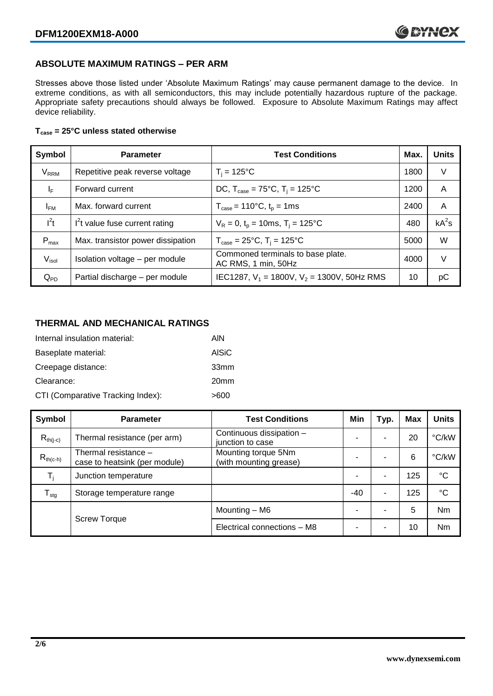# **ABSOLUTE MAXIMUM RATINGS – PER ARM**

Stresses above those listed under 'Absolute Maximum Ratings' may cause permanent damage to the device. In extreme conditions, as with all semiconductors, this may include potentially hazardous rupture of the package. Appropriate safety precautions should always be followed. Exposure to Absolute Maximum Ratings may affect device reliability.

#### **Tcase = 25°C unless stated otherwise**

| Symbol                 | <b>Parameter</b>                  | <b>Test Conditions</b>                                     | Max. | <b>Units</b> |
|------------------------|-----------------------------------|------------------------------------------------------------|------|--------------|
| <b>V<sub>RRM</sub></b> | Repetitive peak reverse voltage   | $T_i = 125$ °C                                             | 1800 | V            |
| ΙF                     | Forward current                   | DC, $T_{\text{case}} = 75^{\circ}C$ , $T_i = 125^{\circ}C$ | 1200 | A            |
| $I_{FM}$               | Max. forward current              | $T_{\text{case}} = 110^{\circ}C, t_{p} = 1ms$              | 2400 | A            |
| $I^2t$                 | $I2t$ value fuse current rating   | $V_R = 0$ , $t_p = 10$ ms, $T_i = 125$ °C                  | 480  | $kA^2s$      |
| $P_{max}$              | Max. transistor power dissipation | $T_{\text{case}} = 25^{\circ}C$ , $T_i = 125^{\circ}C$     | 5000 | W            |
| V <sub>isol</sub>      | Isolation voltage - per module    | Commoned terminals to base plate.<br>AC RMS, 1 min, 50Hz   | 4000 | V            |
| $Q_{PD}$               | Partial discharge - per module    | IEC1287, $V_1$ = 1800V, $V_2$ = 1300V, 50Hz RMS            | 10   | рC           |

# **THERMAL AND MECHANICAL RATINGS**

| Internal insulation material:     | AIN              |
|-----------------------------------|------------------|
| Baseplate material:               | <b>AISiC</b>     |
| Creepage distance:                | 33 <sub>mm</sub> |
| Clearance:                        | 20 <sub>mm</sub> |
| CTI (Comparative Tracking Index): | >600             |

| Symbol              | <b>Parameter</b>                                      | <b>Test Conditions</b>                        | Min   | Typ. | Max | <b>Units</b>    |
|---------------------|-------------------------------------------------------|-----------------------------------------------|-------|------|-----|-----------------|
| $R_{th(i-c)}$       | Thermal resistance (per arm)                          | Continuous dissipation -<br>junction to case  |       | ۰    | 20  | °C/kW           |
| $R_{th(c-h)}$       | Thermal resistance -<br>case to heatsink (per module) | Mounting torque 5Nm<br>(with mounting grease) |       | ۰    | 6   | °C/kW           |
| $T_i$               | Junction temperature                                  |                                               |       | ۰    | 125 | $\rm ^{\circ}C$ |
| $T_{\text{stg}}$    | Storage temperature range                             |                                               | $-40$ | ۰    | 125 | $^{\circ}C$     |
| <b>Screw Torque</b> |                                                       | Mounting - M6                                 |       | ۰    | 5   | Nm              |
|                     |                                                       | Electrical connections - M8                   |       | ۰    | 10  | Nm              |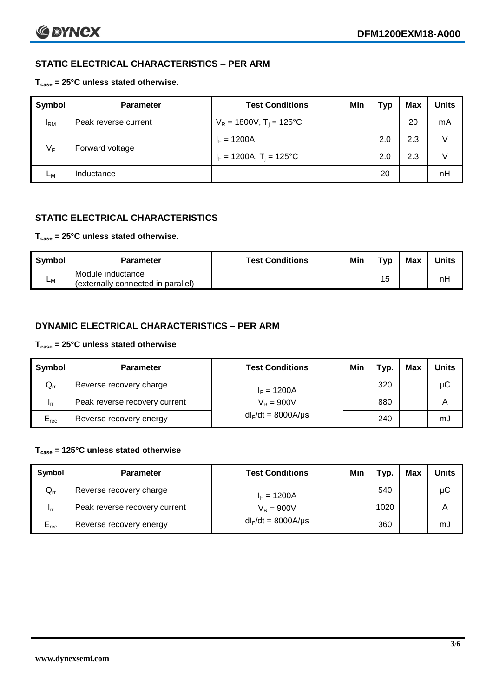# **STATIC ELECTRICAL CHARACTERISTICS – PER ARM**

### **Tcase = 25°C unless stated otherwise.**

| Symbol       | <b>Parameter</b>     | <b>Test Conditions</b>                 | Min | <b>Typ</b> | <b>Max</b> | <b>Units</b> |
|--------------|----------------------|----------------------------------------|-----|------------|------------|--------------|
| $I_{\rm RM}$ | Peak reverse current | $V_R = 1800V$ , T <sub>i</sub> = 125°C |     |            | 20         | mA           |
| ٧F           | Forward voltage      | $I_F = 1200A$                          |     | 2.0        | 2.3        | V            |
|              |                      | $I_F = 1200A$ , $T_i = 125^{\circ}C$   |     | 2.0        | 2.3        | $\vee$       |
| Lм           | Inductance           |                                        |     | 20         |            | nH           |

# **STATIC ELECTRICAL CHARACTERISTICS**

#### **Tcase = 25°C unless stated otherwise.**

| Symbol         | <b>Parameter</b>                                        | <b>Test Conditions</b> | Min | T <sub>VP</sub> | Max | <b>Units</b> |
|----------------|---------------------------------------------------------|------------------------|-----|-----------------|-----|--------------|
| L <sub>M</sub> | Module inductance<br>(externally connected in parallel) |                        |     | 15              |     | nH           |

# **DYNAMIC ELECTRICAL CHARACTERISTICS – PER ARM**

### **Tcase = 25°C unless stated otherwise**

| Symbol          | <b>Parameter</b>              | <b>Test Conditions</b>  | Min | Typ. | Max | <b>Units</b> |
|-----------------|-------------------------------|-------------------------|-----|------|-----|--------------|
| $Q_{rr}$        | Reverse recovery charge       | $I_F = 1200A$           |     | 320  |     | μC           |
| 1 <sub>rr</sub> | Peak reverse recovery current | $V_R = 900V$            |     | 880  |     | A            |
| $E_{rec}$       | Reverse recovery energy       | $dl_F/dt = 8000A/\mu s$ |     | 240  |     | mJ           |

### **Tcase = 125°C unless stated otherwise**

| Symbol    | <b>Parameter</b>              | <b>Test Conditions</b>  | Min | тур. | <b>Max</b> | <b>Units</b> |
|-----------|-------------------------------|-------------------------|-----|------|------------|--------------|
| $Q_{rr}$  | Reverse recovery charge       | $I_F = 1200A$           |     | 540  |            | μC           |
| - Irr     | Peak reverse recovery current | $V_R = 900V$            |     | 1020 |            | А            |
| $E_{rec}$ | Reverse recovery energy       | $dl_F/dt = 8000A/\mu s$ |     | 360  |            | mJ           |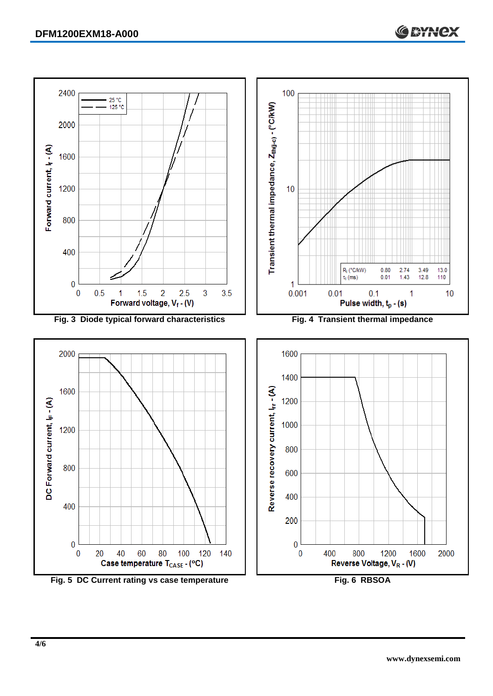

**Fig. 5 DC Current rating vs case temperature Fig. 6 RBSOA**

**C BYNCX**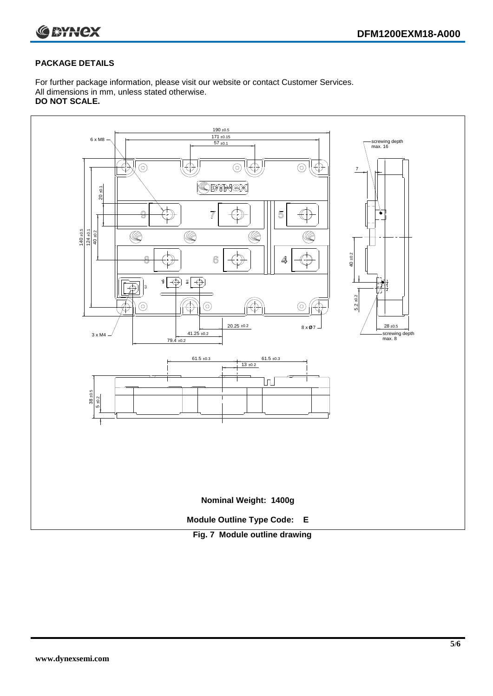

#### **PACKAGE DETAILS**

For further package information, please visit our website or contact Customer Services. All dimensions in mm, unless stated otherwise. **DO NOT SCALE.**